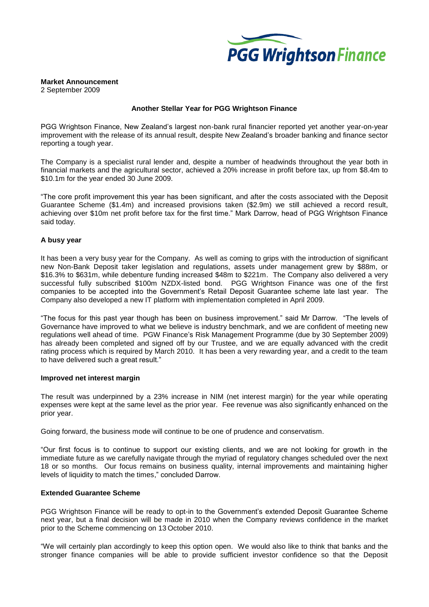

# **Market Announcement**

2 September 2009

## **Another Stellar Year for PGG Wrightson Finance**

PGG Wrightson Finance, New Zealand's largest non-bank rural financier reported yet another year-on-year improvement with the release of its annual result, despite New Zealand's broader banking and finance sector reporting a tough year.

The Company is a specialist rural lender and, despite a number of headwinds throughout the year both in financial markets and the agricultural sector, achieved a 20% increase in profit before tax, up from \$8.4m to \$10.1m for the year ended 30 June 2009.

"The core profit improvement this year has been significant, and after the costs associated with the Deposit Guarantee Scheme (\$1.4m) and increased provisions taken (\$2.9m) we still achieved a record result, achieving over \$10m net profit before tax for the first time." Mark Darrow, head of PGG Wrightson Finance said today.

## **A busy year**

It has been a very busy year for the Company. As well as coming to grips with the introduction of significant new Non-Bank Deposit taker legislation and regulations, assets under management grew by \$88m, or \$16.3% to \$631m, while debenture funding increased \$48m to \$221m. The Company also delivered a very successful fully subscribed \$100m NZDX-listed bond. PGG Wrightson Finance was one of the first companies to be accepted into the Government's Retail Deposit Guarantee scheme late last year. The Company also developed a new IT platform with implementation completed in April 2009.

"The focus for this past year though has been on business improvement." said Mr Darrow. "The levels of Governance have improved to what we believe is industry benchmark, and we are confident of meeting new regulations well ahead of time. PGW Finance's Risk Management Programme (due by 30 September 2009) has already been completed and signed off by our Trustee, and we are equally advanced with the credit rating process which is required by March 2010. It has been a very rewarding year, and a credit to the team to have delivered such a great result."

#### **Improved net interest margin**

The result was underpinned by a 23% increase in NIM (net interest margin) for the year while operating expenses were kept at the same level as the prior year. Fee revenue was also significantly enhanced on the prior year.

Going forward, the business mode will continue to be one of prudence and conservatism.

"Our first focus is to continue to support our existing clients, and we are not looking for growth in the immediate future as we carefully navigate through the myriad of regulatory changes scheduled over the next 18 or so months. Our focus remains on business quality, internal improvements and maintaining higher levels of liquidity to match the times," concluded Darrow.

## **Extended Guarantee Scheme**

PGG Wrightson Finance will be ready to opt-in to the Government's extended Deposit Guarantee Scheme next year, but a final decision will be made in 2010 when the Company reviews confidence in the market prior to the Scheme commencing on 13 October 2010.

"We will certainly plan accordingly to keep this option open. We would also like to think that banks and the stronger finance companies will be able to provide sufficient investor confidence so that the Deposit